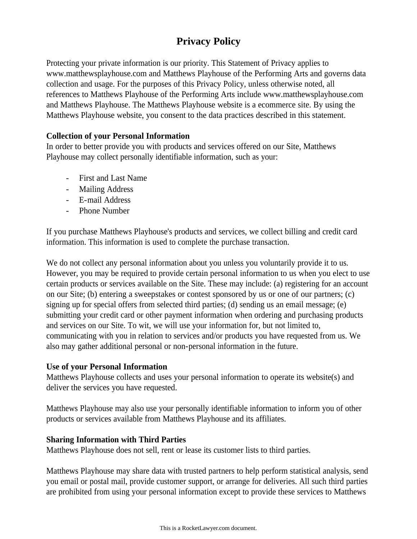# **Privacy Policy**

Protecting your private information is our priority. This Statement of Privacy applies to www.matthewsplayhouse.com and Matthews Playhouse of the Performing Arts and governs data collection and usage. For the purposes of this Privacy Policy, unless otherwise noted, all references to Matthews Playhouse of the Performing Arts include www.matthewsplayhouse.com and Matthews Playhouse. The Matthews Playhouse website is a ecommerce site. By using the Matthews Playhouse website, you consent to the data practices described in this statement.

## **Collection of your Personal Information**

In order to better provide you with products and services offered on our Site, Matthews Playhouse may collect personally identifiable information, such as your:

- First and Last Name
- Mailing Address
- E-mail Address
- Phone Number

If you purchase Matthews Playhouse's products and services, we collect billing and credit card information. This information is used to complete the purchase transaction.

We do not collect any personal information about you unless you voluntarily provide it to us. However, you may be required to provide certain personal information to us when you elect to use certain products or services available on the Site. These may include: (a) registering for an account on our Site; (b) entering a sweepstakes or contest sponsored by us or one of our partners; (c) signing up for special offers from selected third parties; (d) sending us an email message; (e) submitting your credit card or other payment information when ordering and purchasing products and services on our Site. To wit, we will use your information for, but not limited to, communicating with you in relation to services and/or products you have requested from us. We also may gather additional personal or non-personal information in the future.

#### **Use of your Personal Information**

Matthews Playhouse collects and uses your personal information to operate its website(s) and deliver the services you have requested.

Matthews Playhouse may also use your personally identifiable information to inform you of other products or services available from Matthews Playhouse and its affiliates.

## **Sharing Information with Third Parties**

Matthews Playhouse does not sell, rent or lease its customer lists to third parties.

Matthews Playhouse may share data with trusted partners to help perform statistical analysis, send you email or postal mail, provide customer support, or arrange for deliveries. All such third parties are prohibited from using your personal information except to provide these services to Matthews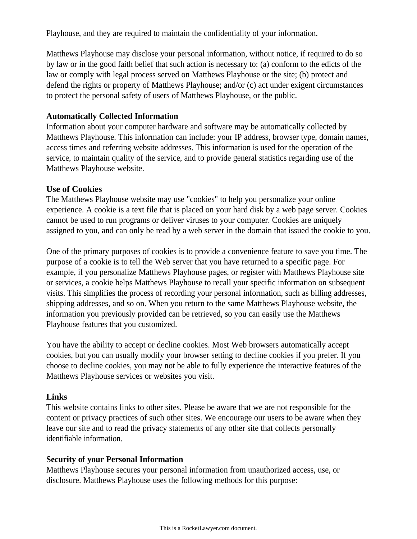Playhouse, and they are required to maintain the confidentiality of your information.

Matthews Playhouse may disclose your personal information, without notice, if required to do so by law or in the good faith belief that such action is necessary to: (a) conform to the edicts of the law or comply with legal process served on Matthews Playhouse or the site; (b) protect and defend the rights or property of Matthews Playhouse; and/or (c) act under exigent circumstances to protect the personal safety of users of Matthews Playhouse, or the public.

#### **Automatically Collected Information**

Information about your computer hardware and software may be automatically collected by Matthews Playhouse. This information can include: your IP address, browser type, domain names, access times and referring website addresses. This information is used for the operation of the service, to maintain quality of the service, and to provide general statistics regarding use of the Matthews Playhouse website.

#### **Use of Cookies**

The Matthews Playhouse website may use "cookies" to help you personalize your online experience. A cookie is a text file that is placed on your hard disk by a web page server. Cookies cannot be used to run programs or deliver viruses to your computer. Cookies are uniquely assigned to you, and can only be read by a web server in the domain that issued the cookie to you.

One of the primary purposes of cookies is to provide a convenience feature to save you time. The purpose of a cookie is to tell the Web server that you have returned to a specific page. For example, if you personalize Matthews Playhouse pages, or register with Matthews Playhouse site or services, a cookie helps Matthews Playhouse to recall your specific information on subsequent visits. This simplifies the process of recording your personal information, such as billing addresses, shipping addresses, and so on. When you return to the same Matthews Playhouse website, the information you previously provided can be retrieved, so you can easily use the Matthews Playhouse features that you customized.

You have the ability to accept or decline cookies. Most Web browsers automatically accept cookies, but you can usually modify your browser setting to decline cookies if you prefer. If you choose to decline cookies, you may not be able to fully experience the interactive features of the Matthews Playhouse services or websites you visit.

## **Links**

This website contains links to other sites. Please be aware that we are not responsible for the content or privacy practices of such other sites. We encourage our users to be aware when they leave our site and to read the privacy statements of any other site that collects personally identifiable information.

## **Security of your Personal Information**

Matthews Playhouse secures your personal information from unauthorized access, use, or disclosure. Matthews Playhouse uses the following methods for this purpose: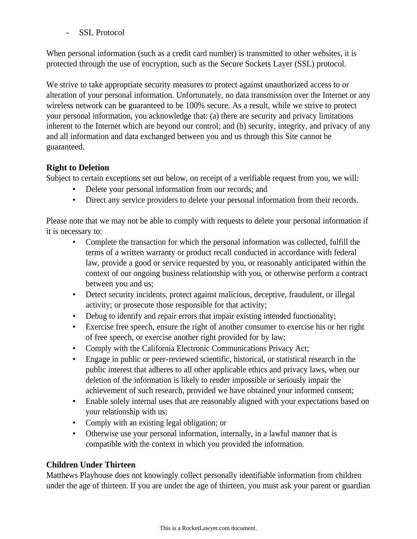SSL Protocol

When personal information (such as a credit card number) is transmitted to other websites, it is protected through the use of encryption, such as the Secure Sockets Layer (SSL) protocol.

We strive to take appropriate security measures to protect against unauthorized access to or alteration of your personal information. Unfortunately, no data transmission over the Internet or any wireless network can be guaranteed to be 100% secure. As a result, while we strive to protect your personal information, you acknowledge that: (a) there are security and privacy limitations inherent to the Internet which are beyond our control; and (b) security, integrity, and privacy of any and all information and data exchanged between you and us through this Site cannot be guaranteed.

# **Right to Deletion**

Subject to certain exceptions set out below, on receipt of a verifiable request from you, we will:

- Delete your personal information from our records; and
- Direct any service providers to delete your personal information from their records.

Please note that we may not be able to comply with requests to delete your personal information if it is necessary to:

- Complete the transaction for which the personal information was collected, fulfill the terms of a written warranty or product recall conducted in accordance with federal law, provide a good or service requested by you, or reasonably anticipated within the context of our ongoing business relationship with you, or otherwise perform a contract between you and us;
- Detect security incidents, protect against malicious, deceptive, fraudulent, or illegal activity; or prosecute those responsible for that activity;
- Debug to identify and repair errors that impair existing intended functionality;
- Exercise free speech, ensure the right of another consumer to exercise his or her right of free speech, or exercise another right provided for by law;
- Comply with the California Electronic Communications Privacy Act;
- Engage in public or peer-reviewed scientific, historical, or statistical research in the public interest that adheres to all other applicable ethics and privacy laws, when our deletion of the information is likely to render impossible or seriously impair the achievement of such research, provided we have obtained your informed consent;
- Enable solely internal uses that are reasonably aligned with your expectations based on your relationship with us;
- Comply with an existing legal obligation; or
- Otherwise use your personal information, internally, in a lawful manner that is compatible with the context in which you provided the information.

# **Children Under Thirteen**

Matthews Playhouse does not knowingly collect personally identifiable information from children under the age of thirteen. If you are under the age of thirteen, you must ask your parent or guardian